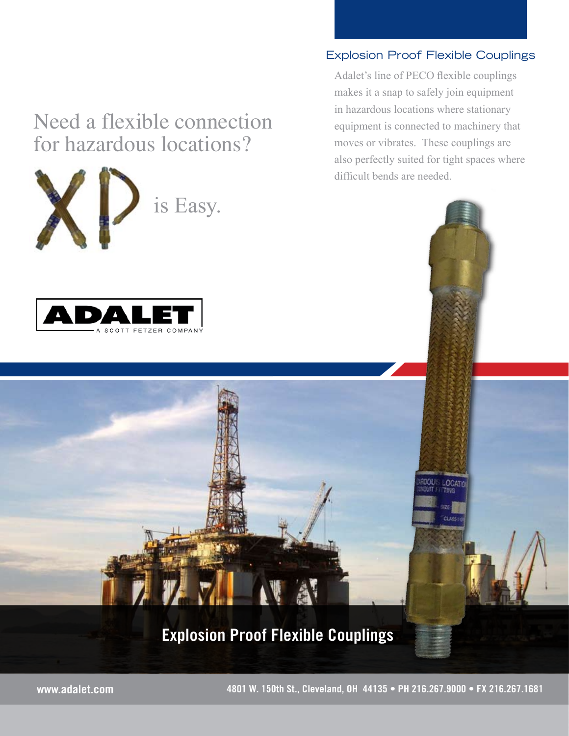## Need a flexible connection for hazardous locations?

is Easy.



## Explosion Proof Flexible Couplings

Adalet's line of PECO flexible couplings makes it a snap to safely join equipment in hazardous locations where stationary equipment is connected to machinery that moves or vibrates. These couplings are also perfectly suited for tight spaces where difficult bends are needed.

LOCAT

## Explosion Proof Flexible Couplings

A

www.adalet.com 4801 W. 150th St., Cleveland, OH 44135 • PH 216.267.9000 • FX 216.267.1681